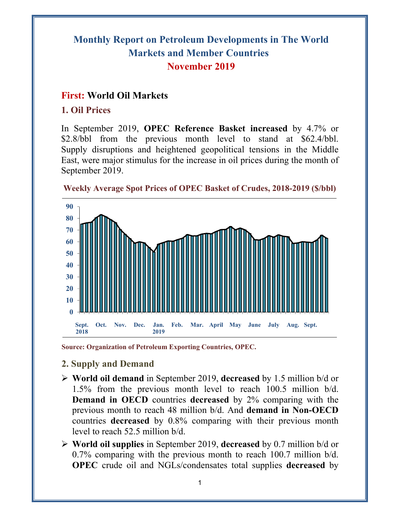# **Monthly Report on Petroleum Developments in The World Markets and Member Countries November 2019**

# **First: World Oil Markets**

## **1. Oil Prices**

In September 2019, **OPEC Reference Basket increased** by 4.7% or \$2.8/bbl from the previous month level to stand at \$62.4/bbl. Supply disruptions and heightened geopolitical tensions in the Middle East, were major stimulus for the increase in oil prices during the month of September 2019.





**Source: Organization of Petroleum Exporting Countries, OPEC.** 

- **2. Supply and Demand**
- **World oil demand** in September 2019, **decreased** by 1.5 million b/d or 1.5% from the previous month level to reach 100.5 million b/d. **Demand in OECD** countries **decreased** by 2% comparing with the previous month to reach 48 million b/d. And **demand in Non-OECD** countries **decreased** by 0.8% comparing with their previous month level to reach 52.5 million b/d.
- **World oil supplies** in September 2019, **decreased** by 0.7 million b/d or 0.7% comparing with the previous month to reach 100.7 million b/d. **OPEC** crude oil and NGLs/condensates total supplies **decreased** by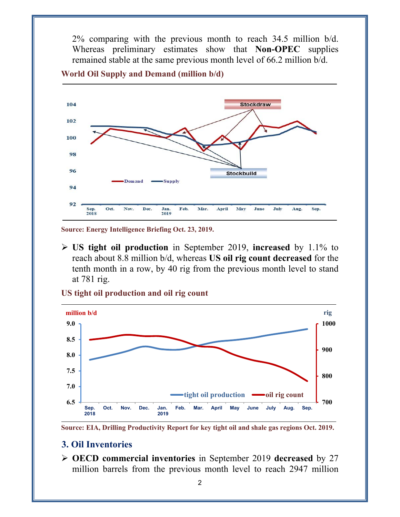2% comparing with the previous month to reach 34.5 million b/d. Whereas preliminary estimates show that **Non-OPEC** supplies remained stable at the same previous month level of 66.2 million b/d.





**Source: Energy Intelligence Briefing Oct. 23, 2019.** 

 **US tight oil production** in September 2019, **increased** by 1.1% to reach about 8.8 million b/d, whereas **US oil rig count decreased** for the tenth month in a row, by 40 rig from the previous month level to stand at 781 rig.

**US tight oil production and oil rig count** 





#### **3. Oil Inventories**

 **OECD commercial inventories** in September 2019 **decreased** by 27 million barrels from the previous month level to reach 2947 million